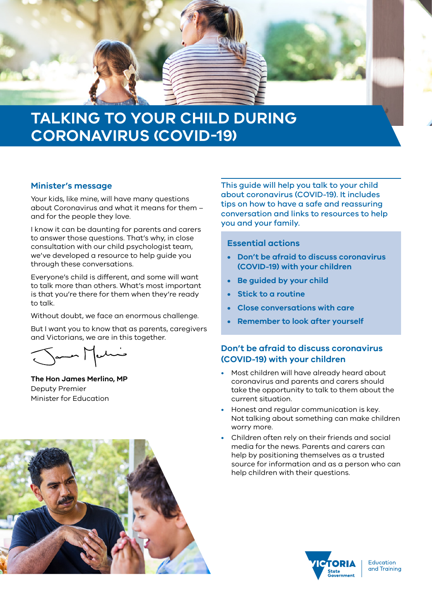

# **TALKING TO YOUR CHILD DURING CORONAVIRUS (COVID-19)**

#### **Minister's message**

Your kids, like mine, will have many questions about Coronavirus and what it means for them – and for the people they love.

I know it can be daunting for parents and carers to answer those questions. That's why, in close consultation with our child psychologist team, we've developed a resource to help guide you through these conversations.

Everyone's child is different, and some will want to talk more than others. What's most important is that you're there for them when they're ready to talk.

Without doubt, we face an enormous challenge.

But I want you to know that as parents, caregivers and Victorians, we are in this together.

James Medici

**The Hon James Merlino, MP** Deputy Premier Minister for Education

This guide will help you talk to your child about coronavirus (COVID-19). It includes tips on how to have a safe and reassuring conversation and links to resources to help you and your family.

#### **Essential actions**

- **• Don't be afraid to discuss coronavirus (COVID-19) with your children**
- **• Be guided by your child**
- **• Stick to a routine**
- **• Close conversations with care**
- **• Remember to look after yourself**

# **Don't be afraid to discuss coronavirus (COVID-19) with your children**

- Most children will have already heard about coronavirus and parents and carers should take the opportunity to talk to them about the current situation.
- Honest and regular communication is key. Not talking about something can make children worry more.
- Children often rely on their friends and social media for the news. Parents and carers can help by positioning themselves as a trusted source for information and as a person who can help children with their questions.





**Education** and Training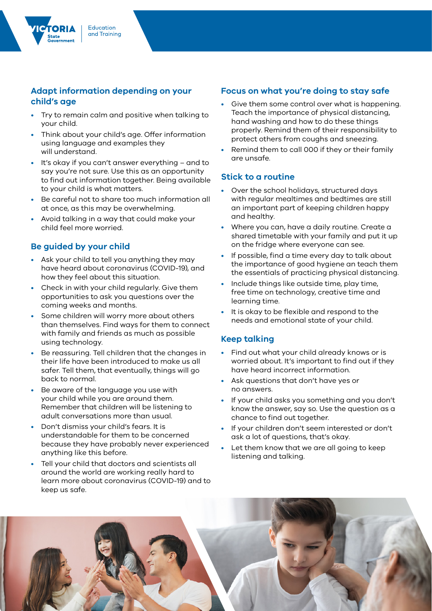## **Adapt information depending on your child's age**

- Try to remain calm and positive when talking to your child.
- Think about your child's age. Offer information using language and examples they will understand.
- It's okay if you can't answer everything and to say you're not sure. Use this as an opportunity to find out information together. Being available to your child is what matters.
- Be careful not to share too much information all at once, as this may be overwhelming.
- Avoid talking in a way that could make your child feel more worried.

## **Be guided by your child**

- Ask your child to tell you anything they may have heard about coronavirus (COVID-19), and how they feel about this situation.
- Check in with your child regularly. Give them opportunities to ask you questions over the coming weeks and months.
- Some children will worry more about others than themselves. Find ways for them to connect with family and friends as much as possible using technology.
- Be reassuring. Tell children that the changes in their life have been introduced to make us all safer. Tell them, that eventually, things will go back to normal.
- Be aware of the language you use with your child while you are around them. Remember that children will be listening to adult conversations more than usual.
- Don't dismiss your child's fears. It is understandable for them to be concerned because they have probably never experienced anything like this before.
- Tell your child that doctors and scientists all around the world are working really hard to learn more about coronavirus (COVID-19) and to keep us safe.

## **Focus on what you're doing to stay safe**

- Give them some control over what is happening. Teach the importance of physical distancing, hand washing and how to do these things properly. Remind them of their responsibility to protect others from coughs and sneezing.
- Remind them to call 000 if they or their family are unsafe.

#### **Stick to a routine**

- Over the school holidays, structured days with regular mealtimes and bedtimes are still an important part of keeping children happy and healthy.
- Where you can, have a daily routine. Create a shared timetable with your family and put it up on the fridge where everyone can see.
- If possible, find a time every day to talk about the importance of good hygiene an teach them the essentials of practicing physical distancing.
- Include things like outside time, play time, free time on technology, creative time and learning time.
- It is okay to be flexible and respond to the needs and emotional state of your child.

#### **Keep talking**

- Find out what your child already knows or is worried about. It's important to find out if they have heard incorrect information.
- Ask questions that don't have yes or no answers.
- If your child asks you something and you don't know the answer, say so. Use the question as a chance to find out together.
- If your children don't seem interested or don't ask a lot of questions, that's okay.
- Let them know that we are all going to keep listening and talking.